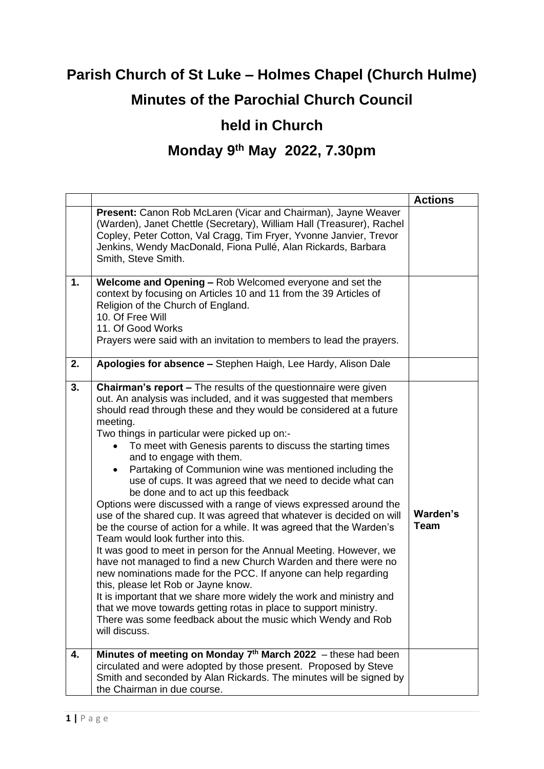## **Parish Church of St Luke – Holmes Chapel (Church Hulme) Minutes of the Parochial Church Council**

## **held in Church**

## **Monday 9 th May 2022, 7.30pm**

|    |                                                                                                                                                                                                                                                                                                                                                                                                                                                                                                                                                                                                                                                                                                                                                                                                                                                                                                                                                                                                                                                                                                                                                                                                                                                                               | <b>Actions</b>   |
|----|-------------------------------------------------------------------------------------------------------------------------------------------------------------------------------------------------------------------------------------------------------------------------------------------------------------------------------------------------------------------------------------------------------------------------------------------------------------------------------------------------------------------------------------------------------------------------------------------------------------------------------------------------------------------------------------------------------------------------------------------------------------------------------------------------------------------------------------------------------------------------------------------------------------------------------------------------------------------------------------------------------------------------------------------------------------------------------------------------------------------------------------------------------------------------------------------------------------------------------------------------------------------------------|------------------|
|    | Present: Canon Rob McLaren (Vicar and Chairman), Jayne Weaver<br>(Warden), Janet Chettle (Secretary), William Hall (Treasurer), Rachel<br>Copley, Peter Cotton, Val Cragg, Tim Fryer, Yvonne Janvier, Trevor<br>Jenkins, Wendy MacDonald, Fiona Pullé, Alan Rickards, Barbara<br>Smith, Steve Smith.                                                                                                                                                                                                                                                                                                                                                                                                                                                                                                                                                                                                                                                                                                                                                                                                                                                                                                                                                                          |                  |
| 1. | Welcome and Opening - Rob Welcomed everyone and set the<br>context by focusing on Articles 10 and 11 from the 39 Articles of<br>Religion of the Church of England.<br>10. Of Free Will<br>11. Of Good Works<br>Prayers were said with an invitation to members to lead the prayers.                                                                                                                                                                                                                                                                                                                                                                                                                                                                                                                                                                                                                                                                                                                                                                                                                                                                                                                                                                                           |                  |
| 2. | Apologies for absence - Stephen Haigh, Lee Hardy, Alison Dale                                                                                                                                                                                                                                                                                                                                                                                                                                                                                                                                                                                                                                                                                                                                                                                                                                                                                                                                                                                                                                                                                                                                                                                                                 |                  |
| 3. | <b>Chairman's report - The results of the questionnaire were given</b><br>out. An analysis was included, and it was suggested that members<br>should read through these and they would be considered at a future<br>meeting.<br>Two things in particular were picked up on:-<br>To meet with Genesis parents to discuss the starting times<br>and to engage with them.<br>Partaking of Communion wine was mentioned including the<br>use of cups. It was agreed that we need to decide what can<br>be done and to act up this feedback<br>Options were discussed with a range of views expressed around the<br>use of the shared cup. It was agreed that whatever is decided on will<br>be the course of action for a while. It was agreed that the Warden's<br>Team would look further into this.<br>It was good to meet in person for the Annual Meeting. However, we<br>have not managed to find a new Church Warden and there were no<br>new nominations made for the PCC. If anyone can help regarding<br>this, please let Rob or Jayne know.<br>It is important that we share more widely the work and ministry and<br>that we move towards getting rotas in place to support ministry.<br>There was some feedback about the music which Wendy and Rob<br>will discuss. | Warden's<br>Team |
| 4. | Minutes of meeting on Monday 7 <sup>th</sup> March 2022 - these had been<br>circulated and were adopted by those present. Proposed by Steve<br>Smith and seconded by Alan Rickards. The minutes will be signed by<br>the Chairman in due course.                                                                                                                                                                                                                                                                                                                                                                                                                                                                                                                                                                                                                                                                                                                                                                                                                                                                                                                                                                                                                              |                  |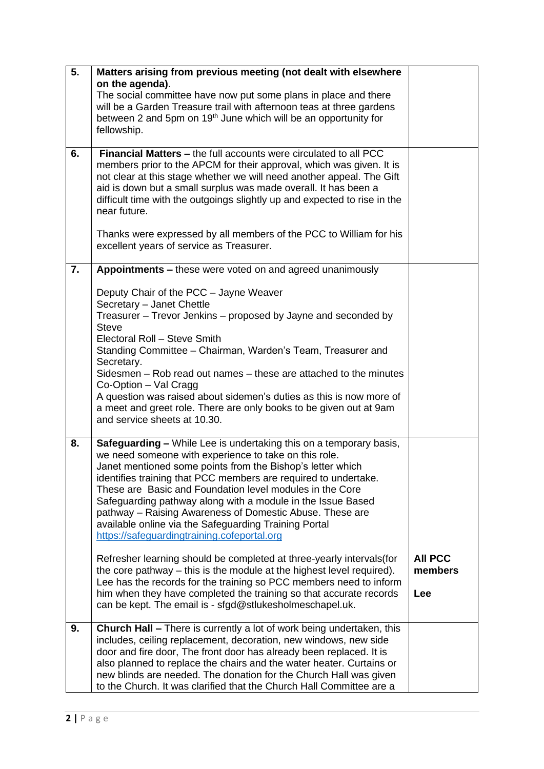| 5. | Matters arising from previous meeting (not dealt with elsewhere                                                                                  |                |
|----|--------------------------------------------------------------------------------------------------------------------------------------------------|----------------|
|    | on the agenda).                                                                                                                                  |                |
|    | The social committee have now put some plans in place and there                                                                                  |                |
|    | will be a Garden Treasure trail with afternoon teas at three gardens                                                                             |                |
|    | between 2 and 5pm on 19 <sup>th</sup> June which will be an opportunity for                                                                      |                |
|    | fellowship.                                                                                                                                      |                |
|    |                                                                                                                                                  |                |
| 6. | <b>Financial Matters - the full accounts were circulated to all PCC</b>                                                                          |                |
|    | members prior to the APCM for their approval, which was given. It is                                                                             |                |
|    | not clear at this stage whether we will need another appeal. The Gift                                                                            |                |
|    | aid is down but a small surplus was made overall. It has been a                                                                                  |                |
|    | difficult time with the outgoings slightly up and expected to rise in the                                                                        |                |
|    | near future.                                                                                                                                     |                |
|    |                                                                                                                                                  |                |
|    | Thanks were expressed by all members of the PCC to William for his                                                                               |                |
|    | excellent years of service as Treasurer.                                                                                                         |                |
|    |                                                                                                                                                  |                |
| 7. | Appointments – these were voted on and agreed unanimously                                                                                        |                |
|    |                                                                                                                                                  |                |
|    | Deputy Chair of the PCC - Jayne Weaver                                                                                                           |                |
|    | Secretary - Janet Chettle<br>Treasurer - Trevor Jenkins - proposed by Jayne and seconded by                                                      |                |
|    | <b>Steve</b>                                                                                                                                     |                |
|    | Electoral Roll - Steve Smith                                                                                                                     |                |
|    | Standing Committee - Chairman, Warden's Team, Treasurer and                                                                                      |                |
|    | Secretary.                                                                                                                                       |                |
|    | Sidesmen – Rob read out names – these are attached to the minutes                                                                                |                |
|    | Co-Option - Val Cragg                                                                                                                            |                |
|    | A question was raised about sidemen's duties as this is now more of                                                                              |                |
|    | a meet and greet role. There are only books to be given out at 9am                                                                               |                |
|    | and service sheets at 10.30.                                                                                                                     |                |
|    |                                                                                                                                                  |                |
| 8. | <b>Safeguarding - While Lee is undertaking this on a temporary basis,</b>                                                                        |                |
|    | we need someone with experience to take on this role.                                                                                            |                |
|    | Janet mentioned some points from the Bishop's letter which                                                                                       |                |
|    | identifies training that PCC members are required to undertake.                                                                                  |                |
|    | These are Basic and Foundation level modules in the Core                                                                                         |                |
|    | Safeguarding pathway along with a module in the Issue Based                                                                                      |                |
|    | pathway – Raising Awareness of Domestic Abuse. These are                                                                                         |                |
|    | available online via the Safeguarding Training Portal                                                                                            |                |
|    | https://safeguardingtraining.cofeportal.org                                                                                                      |                |
|    |                                                                                                                                                  |                |
|    | Refresher learning should be completed at three-yearly intervals (for                                                                            | <b>AII PCC</b> |
|    | the core pathway – this is the module at the highest level required).                                                                            | members        |
|    | Lee has the records for the training so PCC members need to inform                                                                               |                |
|    | him when they have completed the training so that accurate records                                                                               | Lee            |
|    | can be kept. The email is - sfgd@stlukesholmeschapel.uk.                                                                                         |                |
|    |                                                                                                                                                  |                |
| 9. | <b>Church Hall - There is currently a lot of work being undertaken, this</b><br>includes, ceiling replacement, decoration, new windows, new side |                |
|    | door and fire door, The front door has already been replaced. It is                                                                              |                |
|    | also planned to replace the chairs and the water heater. Curtains or                                                                             |                |
|    | new blinds are needed. The donation for the Church Hall was given                                                                                |                |
|    | to the Church. It was clarified that the Church Hall Committee are a                                                                             |                |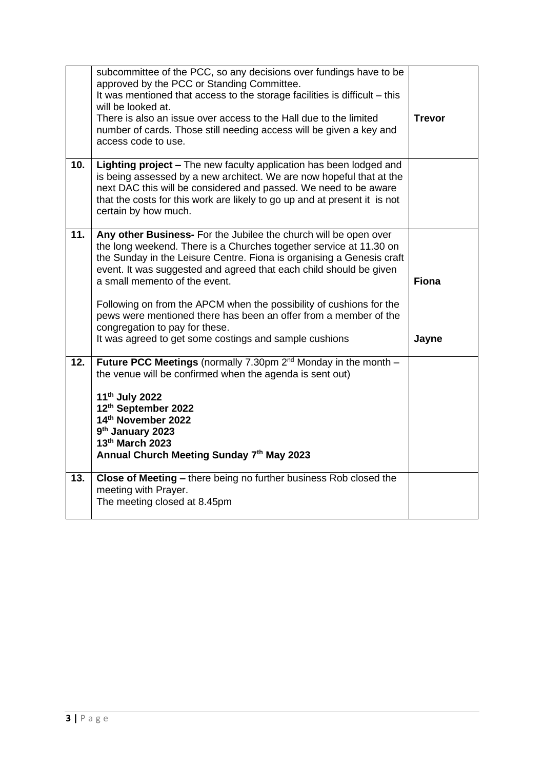|     | subcommittee of the PCC, so any decisions over fundings have to be<br>approved by the PCC or Standing Committee.<br>It was mentioned that access to the storage facilities is difficult - this<br>will be looked at.<br>There is also an issue over access to the Hall due to the limited<br>number of cards. Those still needing access will be given a key and<br>access code to use.                                                                                                                                                                       | <b>Trevor</b>         |
|-----|---------------------------------------------------------------------------------------------------------------------------------------------------------------------------------------------------------------------------------------------------------------------------------------------------------------------------------------------------------------------------------------------------------------------------------------------------------------------------------------------------------------------------------------------------------------|-----------------------|
| 10. | Lighting project - The new faculty application has been lodged and<br>is being assessed by a new architect. We are now hopeful that at the<br>next DAC this will be considered and passed. We need to be aware<br>that the costs for this work are likely to go up and at present it is not<br>certain by how much.                                                                                                                                                                                                                                           |                       |
| 11. | Any other Business- For the Jubilee the church will be open over<br>the long weekend. There is a Churches together service at 11.30 on<br>the Sunday in the Leisure Centre. Fiona is organising a Genesis craft<br>event. It was suggested and agreed that each child should be given<br>a small memento of the event.<br>Following on from the APCM when the possibility of cushions for the<br>pews were mentioned there has been an offer from a member of the<br>congregation to pay for these.<br>It was agreed to get some costings and sample cushions | <b>Fiona</b><br>Jayne |
| 12. | Future PCC Meetings (normally 7.30pm $2^{nd}$ Monday in the month $-$<br>the venue will be confirmed when the agenda is sent out)<br>11 <sup>th</sup> July 2022<br>12th September 2022<br>14th November 2022<br>9 <sup>th</sup> January 2023<br>13th March 2023<br>Annual Church Meeting Sunday 7th May 2023                                                                                                                                                                                                                                                  |                       |
| 13. | Close of Meeting - there being no further business Rob closed the<br>meeting with Prayer.<br>The meeting closed at 8.45pm                                                                                                                                                                                                                                                                                                                                                                                                                                     |                       |